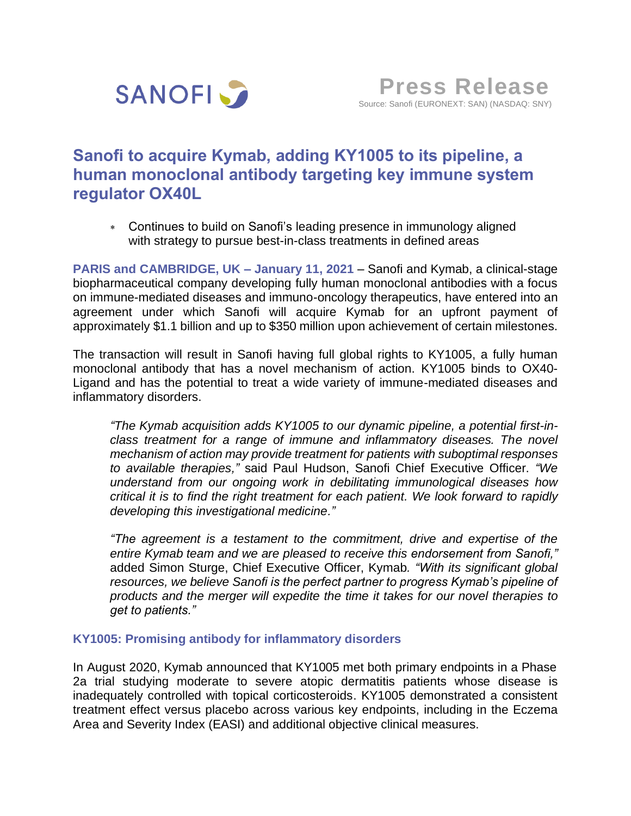

# **Sanofi to acquire Kymab, adding KY1005 to its pipeline, a human monoclonal antibody targeting key immune system regulator OX40L**

 Continues to build on Sanofi's leading presence in immunology aligned with strategy to pursue best-in-class treatments in defined areas

**PARIS and CAMBRIDGE, UK – January 11, 2021** – Sanofi and Kymab, a clinical-stage biopharmaceutical company developing fully human monoclonal antibodies with a focus on immune-mediated diseases and immuno-oncology therapeutics, have entered into an agreement under which Sanofi will acquire Kymab for an upfront payment of approximately \$1.1 billion and up to \$350 million upon achievement of certain milestones.

The transaction will result in Sanofi having full global rights to KY1005, a fully human monoclonal antibody that has a novel mechanism of action. KY1005 binds to OX40- Ligand and has the potential to treat a wide variety of immune-mediated diseases and inflammatory disorders.

*"The Kymab acquisition adds KY1005 to our dynamic pipeline, a potential first-inclass treatment for a range of immune and inflammatory diseases. The novel mechanism of action may provide treatment for patients with suboptimal responses to available therapies,"* said Paul Hudson, Sanofi Chief Executive Officer. *"We understand from our ongoing work in debilitating immunological diseases how critical it is to find the right treatment for each patient. We look forward to rapidly developing this investigational medicine."*

*"The agreement is a testament to the commitment, drive and expertise of the entire Kymab team and we are pleased to receive this endorsement from Sanofi,"*  added Simon Sturge, Chief Executive Officer, Kymab*. "With its significant global resources, we believe Sanofi is the perfect partner to progress Kymab's pipeline of products and the merger will expedite the time it takes for our novel therapies to get to patients."*

## **KY1005: Promising antibody for inflammatory disorders**

In August 2020, Kymab announced that KY1005 met both primary endpoints in a Phase 2a trial studying moderate to severe atopic dermatitis patients whose disease is inadequately controlled with topical corticosteroids. KY1005 demonstrated a consistent treatment effect versus placebo across various key endpoints, including in the Eczema Area and Severity Index (EASI) and additional objective clinical measures.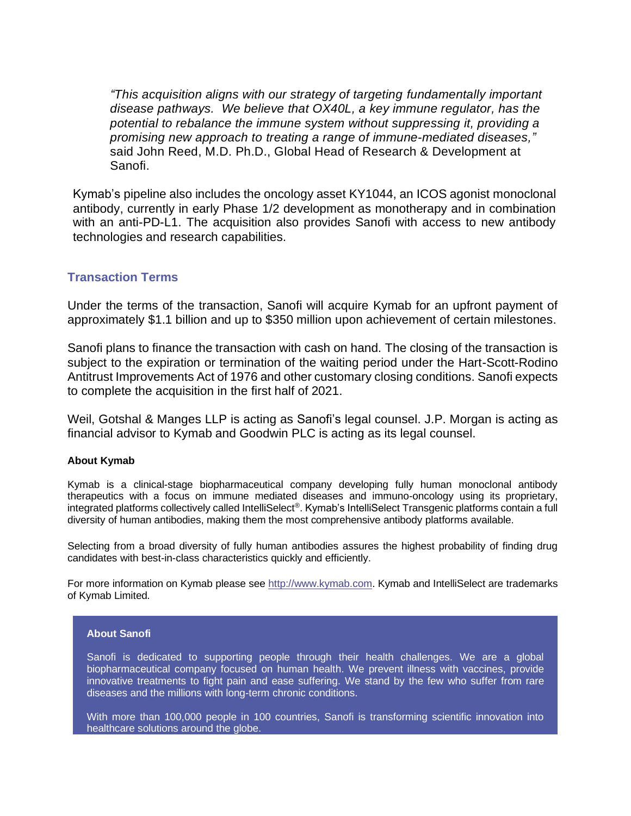*"This acquisition aligns with our strategy of targeting fundamentally important disease pathways. We believe that OX40L, a key immune regulator, has the potential to rebalance the immune system without suppressing it, providing a promising new approach to treating a range of immune-mediated diseases,"*  said John Reed, M.D. Ph.D., Global Head of Research & Development at Sanofi.

Kymab's pipeline also includes the oncology asset KY1044, an ICOS agonist monoclonal antibody, currently in early Phase 1/2 development as monotherapy and in combination with an anti-PD-L1. The acquisition also provides Sanofi with access to new antibody technologies and research capabilities.

## **Transaction Terms**

Under the terms of the transaction, Sanofi will acquire Kymab for an upfront payment of approximately \$1.1 billion and up to \$350 million upon achievement of certain milestones.

Sanofi plans to finance the transaction with cash on hand. The closing of the transaction is subject to the expiration or termination of the waiting period under the Hart-Scott-Rodino Antitrust Improvements Act of 1976 and other customary closing conditions. Sanofi expects to complete the acquisition in the first half of 2021.

Weil, Gotshal & Manges LLP is acting as Sanofi's legal counsel. J.P. Morgan is acting as financial advisor to Kymab and Goodwin PLC is acting as its legal counsel.

### **About Kymab**

Kymab is a clinical-stage biopharmaceutical company developing fully human monoclonal antibody therapeutics with a focus on immune mediated diseases and immuno-oncology using its proprietary, integrated platforms collectively called IntelliSelect®. Kymab's IntelliSelect Transgenic platforms contain a full diversity of human antibodies, making them the most comprehensive antibody platforms available.

Selecting from a broad diversity of fully human antibodies assures the highest probability of finding drug candidates with best-in-class characteristics quickly and efficiently.

For more information on Kymab please see [http://www.kymab.com.](http://www.kymab.com/) Kymab and IntelliSelect are trademarks of Kymab Limited.

#### **About Sanofi**

Sanofi is dedicated to supporting people through their health challenges. We are a global biopharmaceutical company focused on human health. We prevent illness with vaccines, provide innovative treatments to fight pain and ease suffering. We stand by the few who suffer from rare diseases and the millions with long-term chronic conditions.

With more than 100,000 people in 100 countries, Sanofi is transforming scientific innovation into healthcare solutions around the globe.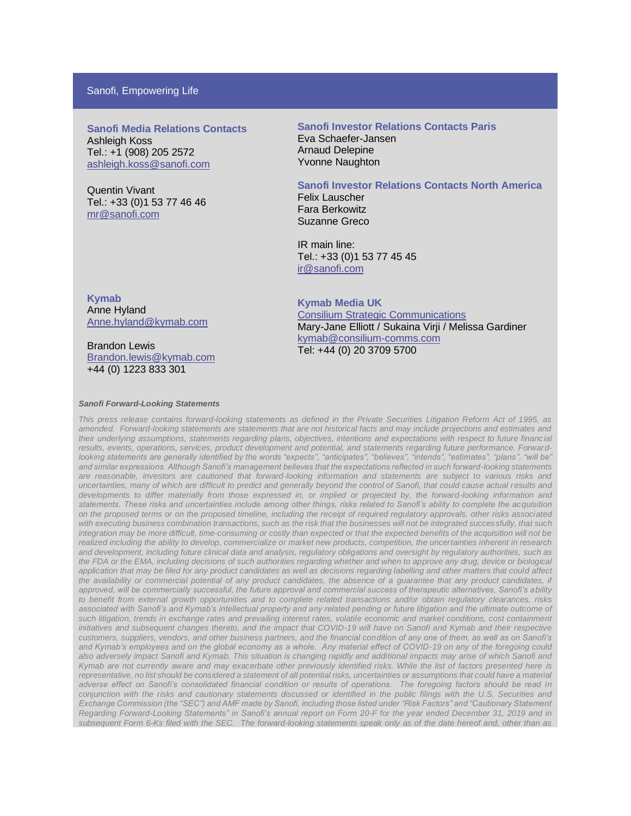### Sanofi, Empowering Life

**Sanofi Media Relations Contacts** Ashleigh Koss Tel.: +1 (908) 205 2572 [ashleigh.koss@sanofi.com](mailto:ashleigh.koss@sanofi.com)

Quentin Vivant Tel.: +33 (0)1 53 77 46 46 [mr@sanofi.com](mailto:mr@sanofi.com)

**Sanofi Investor Relations Contacts Paris** Eva Schaefer-Jansen Arnaud Delepine Yvonne Naughton

#### **Sanofi Investor Relations Contacts North America**

Felix Lauscher Fara Berkowitz Suzanne Greco

IR main line: Tel.: +33 (0)1 53 77 45 45 [ir@sanofi.com](mailto:ir@sanofi.com)

**Kymab** Anne Hyland [Anne.hyland@kymab.com](mailto:Anne.hyland@kymab.com)

Brandon Lewis [Brandon.lewis@kymab.](mailto:Brandon.lewis@kymab)com +44 (0) 1223 833 301

**Kymab Media UK** Consilium Strategic Communications Mary-Jane Elliott / Sukaina Virji / Melissa Gardiner [kymab@consilium-comms.com](mailto:kymab@consilium-comms.com) Tel: +44 (0) 20 3709 5700

#### *Sanofi Forward-Looking Statements*

*This press release contains forward-looking statements as defined in the Private Securities Litigation Reform Act of 1995, as amended. Forward-looking statements are statements that are not historical facts and may include projections and estimates and their underlying assumptions, statements regarding plans, objectives, intentions and expectations with respect to future financial results, events, operations, services, product development and potential, and statements regarding future performance. Forwardlooking statements are generally identified by the words "expects", "anticipates", "believes", "intends", "estimates", "plans", "will be" and similar expressions. Although Sanofi's management believes that the expectations reflected in such forward-looking statements are reasonable, investors are cautioned that forward-looking information and statements are subject to various risks and uncertainties, many of which are difficult to predict and generally beyond the control of Sanofi, that could cause actual results and developments to differ materially from those expressed in, or implied or projected by, the forward-looking information and statements. These risks and uncertainties include among other things, risks related to Sanofi's ability to complete the acquisition on the proposed terms or on the proposed timeline, including the receipt of required regulatory approvals, other risks associated with executing business combination transactions, such as the risk that the businesses will not be integrated successfully, that such integration may be more difficult, time-consuming or costly than expected or that the expected benefits of the acquisition will not be realized including the ability to develop, commercialize or market new products, competition, the uncertainties inherent in research and development, including future clinical data and analysis, regulatory obligations and oversight by regulatory authorities, such as the FDA or the EMA, including decisions of such authorities regarding whether and when to approve any drug, device or biological application that may be filed for any product candidates as well as decisions regarding labelling and other matters that could affect*  the availability or commercial potential of any product candidates, the absence of a guarantee that any product candidates, if *approved, will be commercially successful, the future approval and commercial success of therapeutic alternatives, Sanofi's ability to benefit from external growth opportunities and to complete related transactions and/or obtain regulatory clearances, risks associated with Sanofi's and Kymab's intellectual property and any related pending or future litigation and the ultimate outcome of such litigation, trends in exchange rates and prevailing interest rates, volatile economic and market conditions, cost containment initiatives and subsequent changes thereto, and the impact that COVID-19 will have on Sanofi and Kymab and their respective customers, suppliers, vendors, and other business partners, and the financial condition of any one of them, as well as on Sanofi's and Kymab's employees and on the global economy as a whole. Any material effect of COVID-19 on any of the foregoing could also adversely impact Sanofi and Kymab. This situation is changing rapidly and additional impacts may arise of which Sanofi and Kymab are not currently aware and may exacerbate other previously identified risks. While the list of factors presented here is representative, no list should be considered a statement of all potential risks, uncertainties or assumptions that could have a material adverse effect on Sanofi's consolidated financial condition or results of operations. The foregoing factors should be read in conjunction with the risks and cautionary statements discussed or identified in the public filings with the U.S. Securities and Exchange Commission (the "SEC") and AMF made by Sanofi, including those listed under "Risk Factors" and "Cautionary Statement Regarding Forward-Looking Statements" in Sanofi's annual report on Form 20-F for the year ended December 31, 2019 and in subsequent Form 6-Ks filed with the SEC. The forward-looking statements speak only as of the date hereof and, other than as*